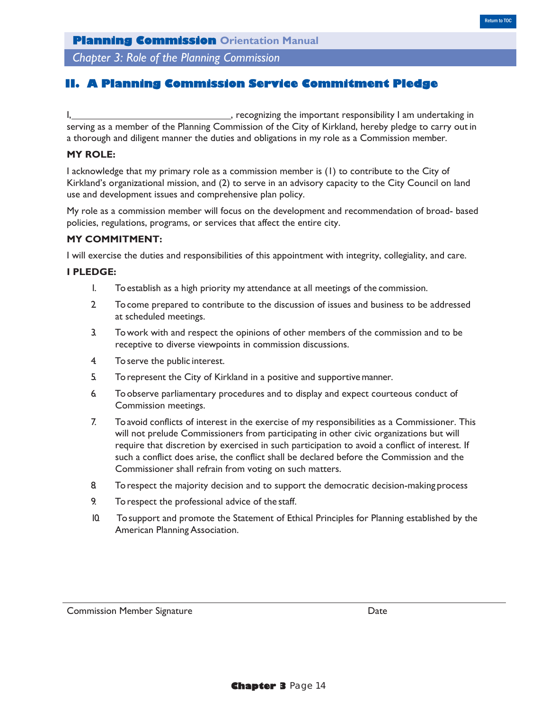*Chapter 3: Role of the Planning Commission*

## **II. A Planning Commission Service Commitment Pledge**

I, https://www.facebook.com/intervalue.com/intervalue.com/intervalue.com/intervalue.com/intervalue.com/intervalue.com/intervalue.com/intervalue.com/intervalue.com/intervalue.com/intervalue.com/intervalue.com/intervalue.com serving as a member of the Planning Commission of the City of Kirkland, hereby pledge to carry out in a thorough and diligent manner the duties and obligations in my role as a Commission member.

#### **MY ROLE:**

I acknowledge that my primary role as a commission member is (1) to contribute to the City of Kirkland's organizational mission, and (2) to serve in an advisory capacity to the City Council on land use and development issues and comprehensive plan policy.

My role as a commission member will focus on the development and recommendation of broad- based policies, regulations, programs, or services that affect the entire city.

#### **MY COMMITMENT:**

I will exercise the duties and responsibilities of this appointment with integrity, collegiality, and care.

## **I PLEDGE:**

- 1. To establish as a high priority my attendance at all meetings of the commission.
- 2. To come prepared to contribute to the discussion of issues and business to be addressed at scheduled meetings.
- 3. To work with and respect the opinions of other members of the commission and to be receptive to diverse viewpoints in commission discussions.
- 4. To serve the public interest.
- 5. To represent the City of Kirkland in a positive and supportive manner.
- 6. To observe parliamentary procedures and to display and expect courteous conduct of Commission meetings.
- 7. To avoid conflicts of interest in the exercise of my responsibilities as a Commissioner. This will not prelude Commissioners from participating in other civic organizations but will require that discretion by exercised in such participation to avoid a conflict of interest. If such a conflict does arise, the conflict shall be declared before the Commission and the Commissioner shall refrain from voting on such matters.
- 8. To respect the majority decision and to support the democratic decision-making process
- 9. To respect the professional advice of the staff.
- 10. To support and promote the Statement of Ethical Principles for Planning established by the American Planning Association.

Commission Member Signature **Date** Date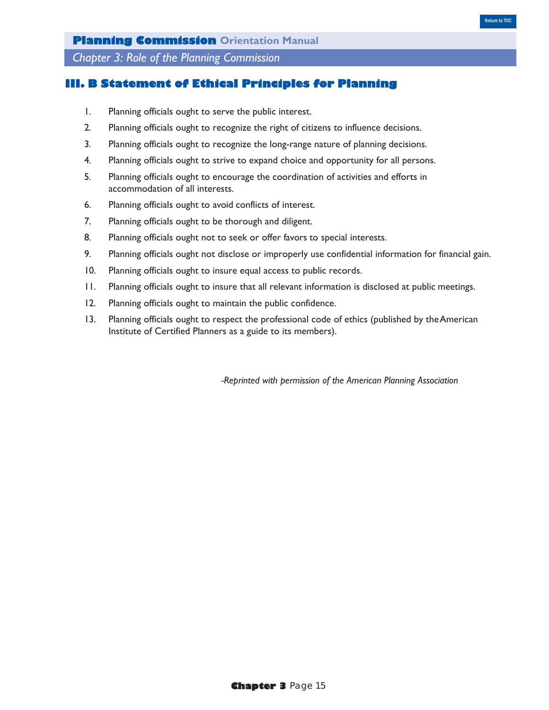*Chapter 3: Role of the Planning Commission*

## **III. B Statement of Ethical Principles for Planning**

- 1. Planning officials ought to serve the public interest.
- 2. Planning officials ought to recognize the right of citizens to influence decisions.
- 3. Planning officials ought to recognize the long-range nature of planning decisions.
- 4. Planning officials ought to strive to expand choice and opportunity for all persons.
- 5. Planning officials ought to encourage the coordination of activities and efforts in accommodation of all interests.
- 6. Planning officials ought to avoid conflicts of interest.
- 7. Planning officials ought to be thorough and diligent.
- 8. Planning officials ought not to seek or offer favors to special interests.
- 9. Planning officials ought not disclose or improperly use confidential information for financial gain.
- 10. Planning officials ought to insure equal access to public records.
- 11. Planning officials ought to insure that all relevant information is disclosed at public meetings.
- 12. Planning officials ought to maintain the public confidence.
- 13. Planning officials ought to respect the professional code of ethics (published by the American Institute of Certified Planners as a guide to its members).

*-Reprinted with permission of the American Planning Association*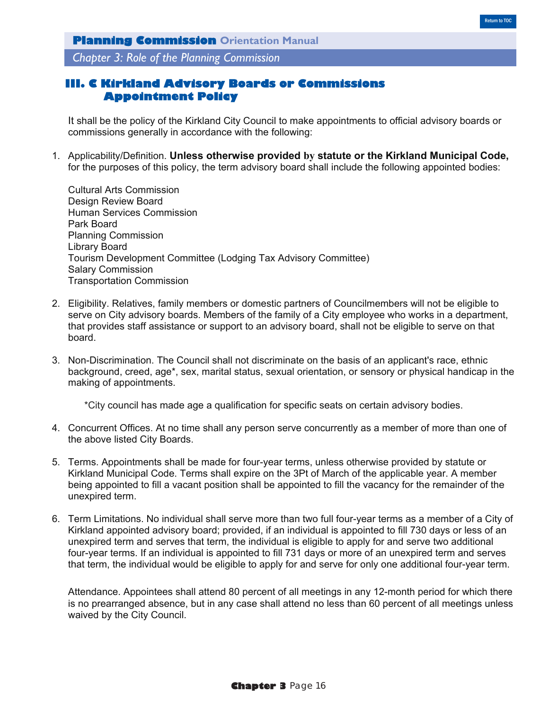*Chapter 3: Role of the Planning Commission*

# **III. C Kirkland Advisory Boards or Commissions Appointment Policy**

It shall be the policy of the Kirkland City Council to make appointments to official advisory boards or commissions generally in accordance with the following:

1. Applicability/Definition. **Unless otherwise provided by statute or the Kirkland Municipal Code,**  for the purposes of this policy, the term advisory board shall include the following appointed bodies:

Cultural Arts Commission Design Review Board Human Services Commission Park Board Planning Commission Library Board Tourism Development Committee (Lodging Tax Advisory Committee) Salary Commission Transportation Commission

- 2. Eligibility. Relatives, family members or domestic partners of Councilmembers will not be eligible to serve on City advisory boards. Members of the family of a City employee who works in a department, that provides staff assistance or support to an advisory board, shall not be eligible to serve on that board.
- 3. Non-Discrimination. The Council shall not discriminate on the basis of an applicant's race, ethnic background, creed, age\*, sex, marital status, sexual orientation, or sensory or physical handicap in the making of appointments.

\*City council has made age a qualification for specific seats on certain advisory bodies.

- 4. Concurrent Offices. At no time shall any person serve concurrently as a member of more than one of the above listed City Boards.
- 5. Terms. Appointments shall be made for four-year terms, unless otherwise provided by statute or Kirkland Municipal Code. Terms shall expire on the 3Pt of March of the applicable year. A member being appointed to fill a vacant position shall be appointed to fill the vacancy for the remainder of the unexpired term.
- 6. Term Limitations. No individual shall serve more than two full four-year terms as a member of a City of Kirkland appointed advisory board; provided, if an individual is appointed to fill 730 days or less of an unexpired term and serves that term, the individual is eligible to apply for and serve two additional four-year terms. If an individual is appointed to fill 731 days or more of an unexpired term and serves that term, the individual would be eligible to apply for and serve for only one additional four-year term.

Attendance. Appointees shall attend 80 percent of all meetings in any 12-month period for which there is no prearranged absence, but in any case shall attend no less than 60 percent of all meetings unless waived by the City Council.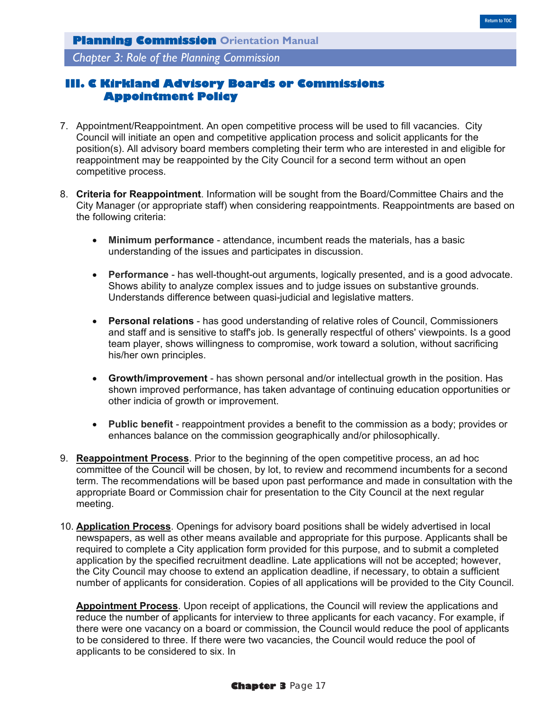*Chapter 3: Role of the Planning Commission*

# **III. C Kirkland Advisory Boards or Commissions Appointment Policy**

- 7. Appointment/Reappointment. An open competitive process will be used to fill vacancies. City Council will initiate an open and competitive application process and solicit applicants for the position(s). All advisory board members completing their term who are interested in and eligible for reappointment may be reappointed by the City Council for a second term without an open competitive process.
- 8. **Criteria for Reappointment**. Information will be sought from the Board/Committee Chairs and the City Manager (or appropriate staff) when considering reappointments. Reappointments are based on the following criteria:
	- **Minimum performance** attendance, incumbent reads the materials, has a basic understanding of the issues and participates in discussion.
	- **Performance** has well-thought-out arguments, logically presented, and is a good advocate. Shows ability to analyze complex issues and to judge issues on substantive grounds. Understands difference between quasi-judicial and legislative matters.
	- **Personal relations** has good understanding of relative roles of Council, Commissioners and staff and is sensitive to staff's job. Is generally respectful of others' viewpoints. Is a good team player, shows willingness to compromise, work toward a solution, without sacrificing his/her own principles.
	- **Growth/improvement** has shown personal and/or intellectual growth in the position. Has shown improved performance, has taken advantage of continuing education opportunities or other indicia of growth or improvement.
	- **Public benefit** reappointment provides a benefit to the commission as a body; provides or enhances balance on the commission geographically and/or philosophically.
- 9. **Reappointment Process**. Prior to the beginning of the open competitive process, an ad hoc committee of the Council will be chosen, by lot, to review and recommend incumbents for a second term. The recommendations will be based upon past performance and made in consultation with the appropriate Board or Commission chair for presentation to the City Council at the next regular meeting.
- 10. **Application Process**. Openings for advisory board positions shall be widely advertised in local newspapers, as well as other means available and appropriate for this purpose. Applicants shall be required to complete a City application form provided for this purpose, and to submit a completed application by the specified recruitment deadline. Late applications will not be accepted; however, the City Council may choose to extend an application deadline, if necessary, to obtain a sufficient number of applicants for consideration. Copies of all applications will be provided to the City Council.

**Appointment Process**. Upon receipt of applications, the Council will review the applications and reduce the number of applicants for interview to three applicants for each vacancy. For example, if there were one vacancy on a board or commission, the Council would reduce the pool of applicants to be considered to three. If there were two vacancies, the Council would reduce the pool of applicants to be considered to six. In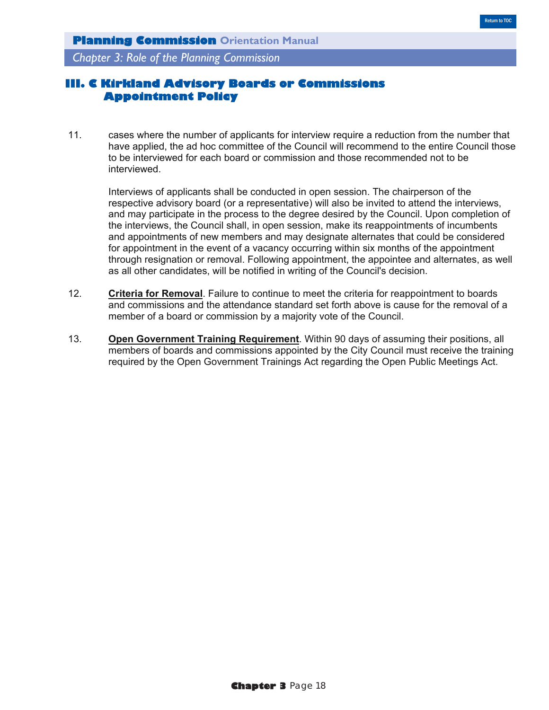*Chapter 3: Role of the Planning Commission*

# **III. C Kirkland Advisory Boards or Commissions Appointment Policy**

11. cases where the number of applicants for interview require a reduction from the number that have applied, the ad hoc committee of the Council will recommend to the entire Council those to be interviewed for each board or commission and those recommended not to be interviewed.

Interviews of applicants shall be conducted in open session. The chairperson of the respective advisory board (or a representative) will also be invited to attend the interviews, and may participate in the process to the degree desired by the Council. Upon completion of the interviews, the Council shall, in open session, make its reappointments of incumbents and appointments of new members and may designate alternates that could be considered for appointment in the event of a vacancy occurring within six months of the appointment through resignation or removal. Following appointment, the appointee and alternates, as well as all other candidates, will be notified in writing of the Council's decision.

- 12. **Criteria for Removal**. Failure to continue to meet the criteria for reappointment to boards and commissions and the attendance standard set forth above is cause for the removal of a member of a board or commission by a majority vote of the Council.
- 13. **Open Government Training Requirement**. Within 90 days of assuming their positions, all members of boards and commissions appointed by the City Council must receive the training required by the Open Government Trainings Act regarding the Open Public Meetings Act.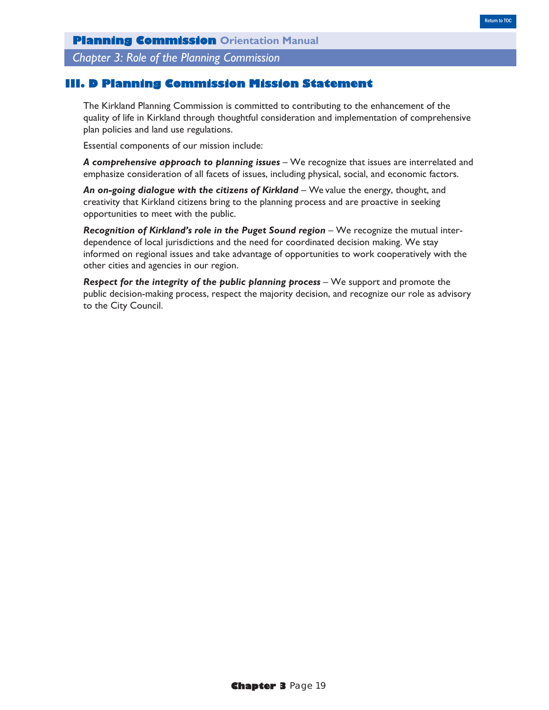*Chapter 3: Role of the Planning Commission*

## **III. D Planning Commission Mission Statement**

The Kirkland Planning Commission is committed to contributing to the enhancement of the quality of life in Kirkland through thoughtful consideration and implementation of comprehensive plan policies and land use regulations.

Essential components of our mission include:

A comprehensive approach to planning issues - We recognize that issues are interrelated and emphasize consideration of all facets of issues, including physical, social, and economic factors.

An on-going dialogue with the citizens of Kirkland – We value the energy, thought, and creativity that Kirkland citizens bring to the planning process and are proactive in seeking opportunities to meet with the public.

**Recognition of Kirkland's role in the Puget Sound region** – We recognize the mutual interdependence of local jurisdictions and the need for coordinated decision making. We stay informed on regional issues and take advantage of opportunities to work cooperatively with the other cities and agencies in our region.

*Respect for the integrity of the public planning process – We support and promote the* public decision-making process, respect the majority decision, and recognize our role as advisory to the City Council.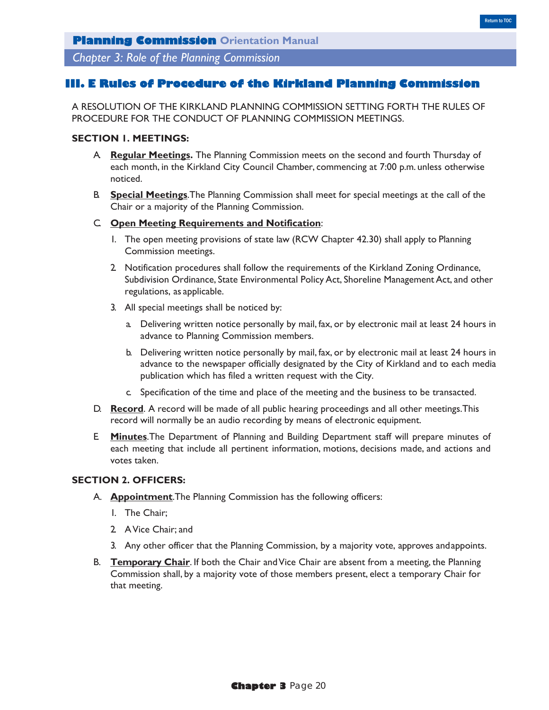## **III. E Rules of Procedure of the Kirkland Planning Commission**

A RESOLUTION OF THE KIRKLAND PLANNING COMMISSION SETTING FORTH THE RULES OF PROCEDURE FOR THE CONDUCT OF PLANNING COMMISSION MEETINGS.

## **SECTION 1. MEETINGS:**

- A. **Regular Meetings.** The Planning Commission meets on the second and fourth Thursday of each month, in the Kirkland City Council Chamber, commencing at 7:00 p.m. unless otherwise noticed.
- B. **Special Meetings**.The Planning Commission shall meet for special meetings at the call of the Chair or a majority of the Planning Commission.

#### C. **Open Meeting Requirements and Notification**:

- 1. The open meeting provisions of state law (RCW Chapter 42.30) shall apply to Planning Commission meetings.
- 2. Notification procedures shall follow the requirements of the Kirkland Zoning Ordinance, Subdivision Ordinance, State Environmental Policy Act, Shoreline Management Act, and other regulations, as applicable.
- 3. All special meetings shall be noticed by:
	- a. Delivering written notice personally by mail, fax, or by electronic mail at least 24 hours in advance to Planning Commission members.
	- b. Delivering written notice personally by mail, fax, or by electronic mail at least 24 hours in advance to the newspaper officially designated by the City of Kirkland and to each media publication which has filed a written request with the City.
	- c. Specification of the time and place of the meeting and the business to be transacted.
- D. **Record**. A record will be made of all public hearing proceedings and all other meetings.This record will normally be an audio recording by means of electronic equipment.
- E. **Minutes**.The Department of Planning and Building Department staff will prepare minutes of each meeting that include all pertinent information, motions, decisions made, and actions and votes taken.

#### **SECTION 2. OFFICERS:**

- A. **Appointment**.The Planning Commission has the following officers:
	- 1. The Chair;
	- 2. A Vice Chair; and
	- 3. Any other officer that the Planning Commission, by a majority vote, approves and appoints.
- B. **Temporary Chair**. If both the Chair and Vice Chair are absent from a meeting, the Planning Commission shall, by a majority vote of those members present, elect a temporary Chair for that meeting.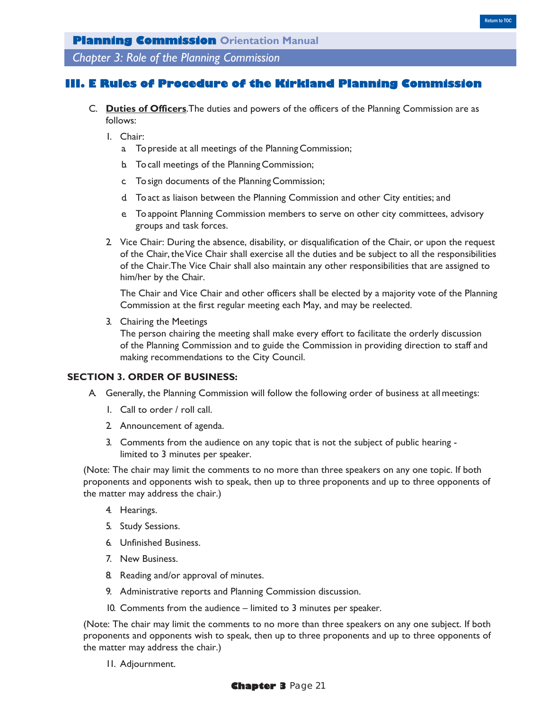*Chapter 3: Role of the Planning Commission*

## **Rules of Procedure of the Kirkland Planning Commission**

- C. **Duties of Officers**.The duties and powers of the officers of the Planning Commission are as follows:
	- 1. Chair:
		- a. To preside at all meetings of the Planning Commission;
		- b. To call meetings of the Planning Commission;
		- c. To sign documents of the Planning Commission;
		- d. To act as liaison between the Planning Commission and other City entities; and
		- e. To appoint Planning Commission members to serve on other city committees, advisory groups and task forces.
	- 2. Vice Chair: During the absence, disability, or disqualification of the Chair, or upon the request of the Chair, the Vice Chair shall exercise all the duties and be subject to all the responsibilities of the Chair.The Vice Chair shall also maintain any other responsibilities that are assigned to him/her by the Chair.

The Chair and Vice Chair and other officers shall be elected by a majority vote of the Planning Commission at the first regular meeting each May, and may be reelected.

3. Chairing the Meetings

The person chairing the meeting shall make every effort to facilitate the orderly discussion of the Planning Commission and to guide the Commission in providing direction to staff and making recommendations to the City Council.

#### **SECTION 3. ORDER OF BUSINESS:**

- A. Generally, the Planning Commission will follow the following order of business at all meetings:
	- 1. Call to order / roll call.
	- 2. Announcement of agenda.
	- 3. Comments from the audience on any topic that is not the subject of public hearing limited to 3 minutes per speaker.

(Note: The chair may limit the comments to no more than three speakers on any one topic. If both proponents and opponents wish to speak, then up to three proponents and up to three opponents of the matter may address the chair.)

- 4. Hearings.
- 5. Study Sessions.
- 6. Unfinished Business.
- 7. New Business.
- 8. Reading and/or approval of minutes.
- 9. Administrative reports and Planning Commission discussion.
- 10. Comments from the audience limited to 3 minutes per speaker.

(Note: The chair may limit the comments to no more than three speakers on any one subject. If both proponents and opponents wish to speak, then up to three proponents and up to three opponents of the matter may address the chair.)

11. Adjournment.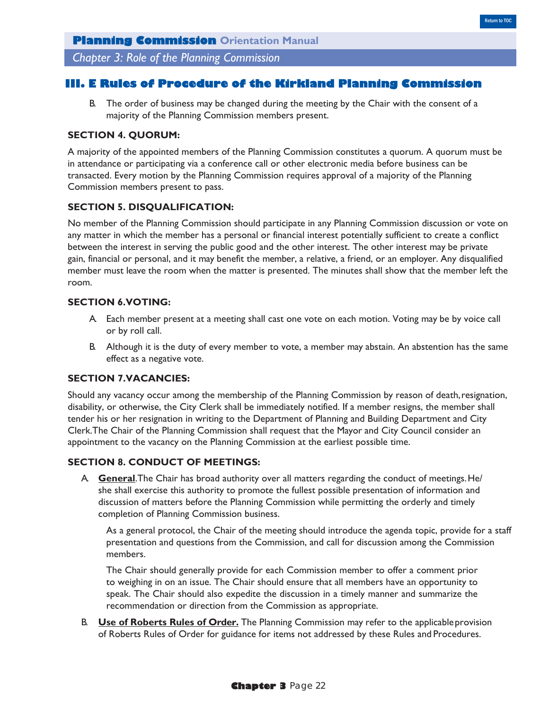*Chapter 3: Role of the Planning Commission*

## **III. E Rules of Procedure of the Kirkland Planning Commission**

B. The order of business may be changed during the meeting by the Chair with the consent of a majority of the Planning Commission members present.

### **SECTION 4. QUORUM:**

A majority of the appointed members of the Planning Commission constitutes a quorum. A quorum must be in attendance or participating via a conference call or other electronic media before business can be transacted. Every motion by the Planning Commission requires approval of a majority of the Planning Commission members present to pass.

### **SECTION 5. DISQUALIFICATION:**

No member of the Planning Commission should participate in any Planning Commission discussion or vote on any matter in which the member has a personal or financial interest potentially sufficient to create a conflict between the interest in serving the public good and the other interest. The other interest may be private gain, financial or personal, and it may benefit the member, a relative, a friend, or an employer. Any disqualified member must leave the room when the matter is presented. The minutes shall show that the member left the room.

#### **SECTION 6.VOTING:**

- A. Each member present at a meeting shall cast one vote on each motion. Voting may be by voice call or by roll call.
- B. Although it is the duty of every member to vote, a member may abstain. An abstention has the same effect as a negative vote.

#### **SECTION 7.VACANCIES:**

Should any vacancy occur among the membership of the Planning Commission by reason of death, resignation, disability, or otherwise, the City Clerk shall be immediately notified. If a member resigns, the member shall tender his or her resignation in writing to the Department of Planning and Building Department and City Clerk.The Chair of the Planning Commission shall request that the Mayor and City Council consider an appointment to the vacancy on the Planning Commission at the earliest possible time.

#### **SECTION 8. CONDUCT OF MEETINGS:**

A. **General**.The Chair has broad authority over all matters regarding the conduct of meetings. He/ she shall exercise this authority to promote the fullest possible presentation of information and discussion of matters before the Planning Commission while permitting the orderly and timely completion of Planning Commission business.

As a general protocol, the Chair of the meeting should introduce the agenda topic, provide for a staff presentation and questions from the Commission, and call for discussion among the Commission members.

The Chair should generally provide for each Commission member to offer a comment prior to weighing in on an issue. The Chair should ensure that all members have an opportunity to speak. The Chair should also expedite the discussion in a timely manner and summarize the recommendation or direction from the Commission as appropriate.

B. **Use of Roberts Rules of Order.** The Planning Commission may refer to the applicable provision of Roberts Rules of Order for guidance for items not addressed by these Rules and Procedures.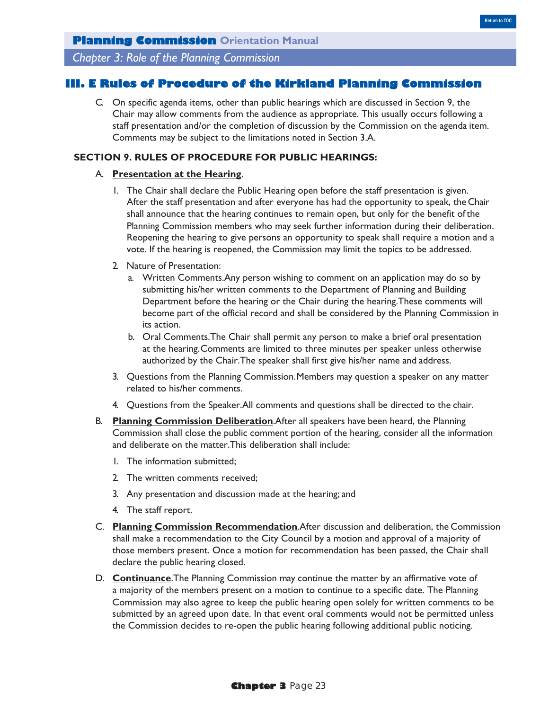*Chapter 3: Role of the Planning Commission*

## **III. E Rules of Procedure of the Kirkland Planning Commission**

C. On specific agenda items, other than public hearings which are discussed in Section 9, the Chair may allow comments from the audience as appropriate. This usually occurs following a staff presentation and/or the completion of discussion by the Commission on the agenda item. Comments may be subject to the limitations noted in Section 3.A.

### **SECTION 9. RULES OF PROCEDURE FOR PUBLIC HEARINGS:**

#### A. **Presentation at the Hearing**.

- 1. The Chair shall declare the Public Hearing open before the staff presentation is given. After the staff presentation and after everyone has had the opportunity to speak, the Chair shall announce that the hearing continues to remain open, but only for the benefit of the Planning Commission members who may seek further information during their deliberation. Reopening the hearing to give persons an opportunity to speak shall require a motion and a vote. If the hearing is reopened, the Commission may limit the topics to be addressed.
- 2. Nature of Presentation:
	- a. Written Comments.Any person wishing to comment on an application may do so by submitting his/her written comments to the Department of Planning and Building Department before the hearing or the Chair during the hearing.These comments will become part of the official record and shall be considered by the Planning Commission in its action.
	- b. Oral Comments.The Chair shall permit any person to make a brief oral presentation at the hearing. Comments are limited to three minutes per speaker unless otherwise authorized by the Chair.The speaker shall first give his/her name and address.
- 3. Questions from the Planning Commission. Members may question a speaker on any matter related to his/her comments.
- 4. Questions from the Speaker.All comments and questions shall be directed to the chair.
- B. **Planning Commission Deliberation**.After all speakers have been heard, the Planning Commission shall close the public comment portion of the hearing, consider all the information and deliberate on the matter.This deliberation shall include:
	- 1. The information submitted;
	- 2. The written comments received;
	- 3. Any presentation and discussion made at the hearing; and
	- 4. The staff report.
- C. **Planning Commission Recommendation**.After discussion and deliberation, the Commission shall make a recommendation to the City Council by a motion and approval of a majority of those members present. Once a motion for recommendation has been passed, the Chair shall declare the public hearing closed.
- D. **Continuance**.The Planning Commission may continue the matter by an affirmative vote of a majority of the members present on a motion to continue to a specific date. The Planning Commission may also agree to keep the public hearing open solely for written comments to be submitted by an agreed upon date. In that event oral comments would not be permitted unless the Commission decides to re-open the public hearing following additional public noticing.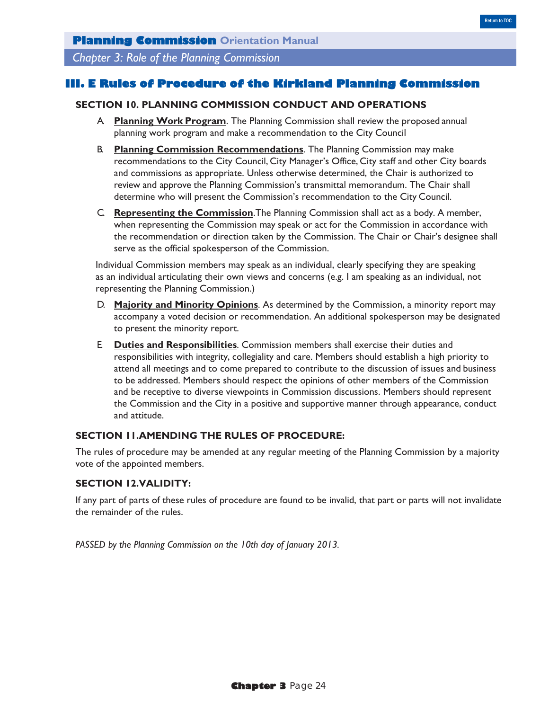## **III. E Rules of Procedure of the Kirkland Planning Commission**

### **SECTION 10. PLANNING COMMISSION CONDUCT AND OPERATIONS**

- A. **Planning Work Program**. The Planning Commission shall review the proposed annual planning work program and make a recommendation to the City Council
- B. **Planning Commission Recommendations**. The Planning Commission may make recommendations to the City Council, City Manager's Office, City staff and other City boards and commissions as appropriate. Unless otherwise determined, the Chair is authorized to review and approve the Planning Commission's transmittal memorandum. The Chair shall determine who will present the Commission's recommendation to the City Council.
- C. **Representing the Commission**.The Planning Commission shall act as a body. A member, when representing the Commission may speak or act for the Commission in accordance with the recommendation or direction taken by the Commission. The Chair or Chair's designee shall serve as the official spokesperson of the Commission.

Individual Commission members may speak as an individual, clearly specifying they are speaking as an individual articulating their own views and concerns (e.g. I am speaking as an individual, not representing the Planning Commission.)

- D. **Majority and Minority Opinions**. As determined by the Commission, a minority report may accompany a voted decision or recommendation. An additional spokesperson may be designated to present the minority report.
- E. **Duties and Responsibilities**. Commission members shall exercise their duties and responsibilities with integrity, collegiality and care. Members should establish a high priority to attend all meetings and to come prepared to contribute to the discussion of issues and business to be addressed. Members should respect the opinions of other members of the Commission and be receptive to diverse viewpoints in Commission discussions. Members should represent the Commission and the City in a positive and supportive manner through appearance, conduct and attitude.

## **SECTION 11.AMENDING THE RULES OF PROCEDURE:**

The rules of procedure may be amended at any regular meeting of the Planning Commission by a majority vote of the appointed members.

## **SECTION 12.VALIDITY:**

If any part of parts of these rules of procedure are found to be invalid, that part or parts will not invalidate the remainder of the rules.

*PASSED by the Planning Commission on the 10th day of January 2013.*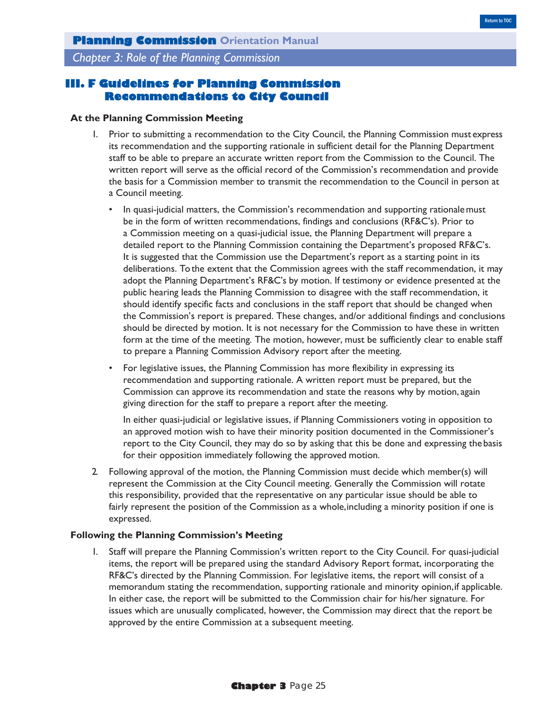## **III. F Guidelines for Planning Commission Recommendations to City Council**

#### **At the Planning Commission Meeting**

- 1. Prior to submitting a recommendation to the City Council, the Planning Commission must express its recommendation and the supporting rationale in sufficient detail for the Planning Department staff to be able to prepare an accurate written report from the Commission to the Council. The written report will serve as the official record of the Commission's recommendation and provide the basis for a Commission member to transmit the recommendation to the Council in person at a Council meeting.
	- In quasi-judicial matters, the Commission's recommendation and supporting rationale must be in the form of written recommendations, findings and conclusions (RF&C's). Prior to a Commission meeting on a quasi-judicial issue, the Planning Department will prepare a detailed report to the Planning Commission containing the Department's proposed RF&C's. It is suggested that the Commission use the Department's report as a starting point in its deliberations. To the extent that the Commission agrees with the staff recommendation, it may adopt the Planning Department's RF&C's by motion. If testimony or evidence presented at the public hearing leads the Planning Commission to disagree with the staff recommendation, it should identify specific facts and conclusions in the staff report that should be changed when the Commission's report is prepared. These changes, and/or additional findings and conclusions should be directed by motion. It is not necessary for the Commission to have these in written form at the time of the meeting. The motion, however, must be sufficiently clear to enable staff to prepare a Planning Commission Advisory report after the meeting.
	- For legislative issues, the Planning Commission has more flexibility in expressing its recommendation and supporting rationale. A written report must be prepared, but the Commission can approve its recommendation and state the reasons why by motion, again giving direction for the staff to prepare a report after the meeting.

In either quasi-judicial or legislative issues, if Planning Commissioners voting in opposition to an approved motion wish to have their minority position documented in the Commissioner's report to the City Council, they may do so by asking that this be done and expressing the basis for their opposition immediately following the approved motion.

2. Following approval of the motion, the Planning Commission must decide which member(s) will represent the Commission at the City Council meeting. Generally the Commission will rotate this responsibility, provided that the representative on any particular issue should be able to fairly represent the position of the Commission as a whole, including a minority position if one is expressed.

#### **Following the Planning Commission's Meeting**

1. Staff will prepare the Planning Commission's written report to the City Council. For quasi-judicial items, the report will be prepared using the standard Advisory Report format, incorporating the RF&C's directed by the Planning Commission. For legislative items, the report will consist of a memorandum stating the recommendation, supporting rationale and minority opinion, if applicable. In either case, the report will be submitted to the Commission chair for his/her signature. For issues which are unusually complicated, however, the Commission may direct that the report be approved by the entire Commission at a subsequent meeting.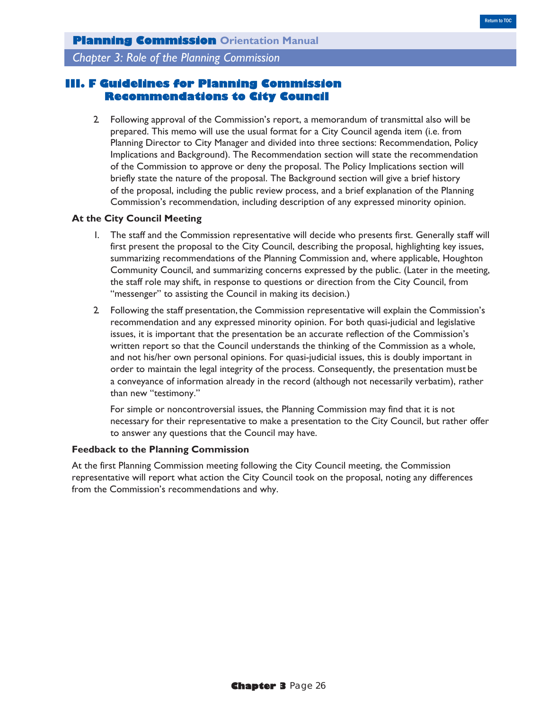# **III. F Guidelines for Planning Commission Recommendations to City Council**

2. Following approval of the Commission's report, a memorandum of transmittal also will be prepared. This memo will use the usual format for a City Council agenda item (i.e. from Planning Director to City Manager and divided into three sections: Recommendation, Policy Implications and Background). The Recommendation section will state the recommendation of the Commission to approve or deny the proposal. The Policy Implications section will briefly state the nature of the proposal. The Background section will give a brief history of the proposal, including the public review process, and a brief explanation of the Planning Commission's recommendation, including description of any expressed minority opinion.

#### **At the City Council Meeting**

- 1. The staff and the Commission representative will decide who presents first. Generally staff will first present the proposal to the City Council, describing the proposal, highlighting key issues, summarizing recommendations of the Planning Commission and, where applicable, Houghton Community Council, and summarizing concerns expressed by the public. (Later in the meeting, the staff role may shift, in response to questions or direction from the City Council, from "messenger" to assisting the Council in making its decision.)
- 2. Following the staff presentation, the Commission representative will explain the Commission's recommendation and any expressed minority opinion. For both quasi-judicial and legislative issues, it is important that the presentation be an accurate reflection of the Commission's written report so that the Council understands the thinking of the Commission as a whole, and not his/her own personal opinions. For quasi-judicial issues, this is doubly important in order to maintain the legal integrity of the process. Consequently, the presentation must be a conveyance of information already in the record (although not necessarily verbatim), rather than new "testimony."

For simple or noncontroversial issues, the Planning Commission may find that it is not necessary for their representative to make a presentation to the City Council, but rather offer to answer any questions that the Council may have.

### **Feedback to the Planning Commission**

At the first Planning Commission meeting following the City Council meeting, the Commission representative will report what action the City Council took on the proposal, noting any differences from the Commission's recommendations and why.